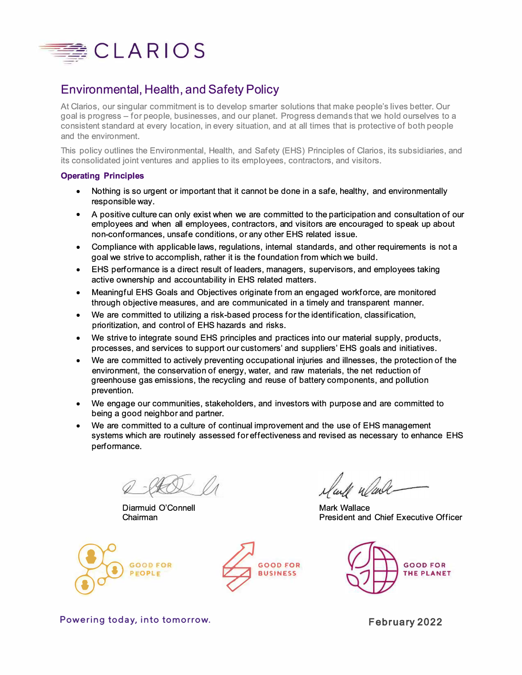

## Environmental, Health, and Safety Policy

At Clarios, our singular commitment is to develop smarter solutions that make people's lives better. Our goal is progress – for people, businesses, and our planet. Progress demands that we hold ourselves to a consistent standard at every location, in every situation, and at all times that is protective of both people and the environment.

This policy outlines the Environmental, Health, and Safety (EHS) Principles of Clarios, its subsidiaries, and its consolidated joint ventures and applies to its employees, contractors, and visitors.

## **Operating Principles**

- Nothing is so urgent or important that it cannot be done in a safe, healthy, and environmentally responsible way.
- A positive culture can only exist when we are committed to the participation and consultation of our employees and when all employees, contractors, and visitors are encouraged to speak up about non-conformances, unsafe conditions, or any other EHS related issue.
- Compliance with applicable laws, regulations, internal standards, and other requirements is not a goal we strive to accomplish, rather it is the foundation from which we build.
- EHS performance is a direct result of leaders, managers, supervisors, and employees taking active ownership and accountability in EHS related matters.
- Meaningful EHS Goals and Objectives originate from an engaged workforce, are monitored through objective measures, and are communicated in a timely and transparent manner.
- We are committed to utilizing a risk-based process for the identification, classification, prioritization, and control of EHS hazards and risks.
- We strive to integrate sound EHS principles and practices into our material supply, products, processes, and services to support our customers' and suppliers' EHS goals and initiatives.
- We are committed to actively preventing occupational injuries and illnesses, the protection of the environment, the conservation of energy, water, and raw materials, the net reduction of greenhouse gas emissions, the recycling and reuse of battery components, and pollution prevention.
- We engage our communities, stakeholders, and investors with purpose and are committed to being a good neighbor and partner.
- We are committed to a culture of continual improvement and the use of EHS management systems which are routinely assessed for effectiveness and revised as necessary to enhance EHS performance.

Diarmuid O'Connell Chairman





Mark Wallace President and Chief Executive Officer



**Powering today, into tomorrow.** 

**February 2022**